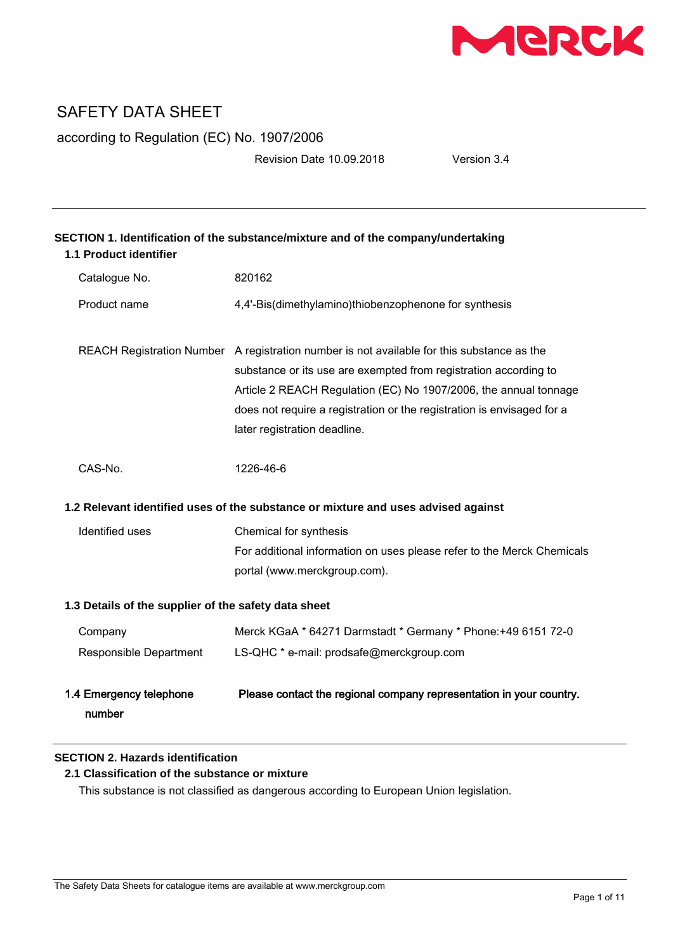

according to Regulation (EC) No. 1907/2006

Revision Date 10.09.2018 Version 3.4

| SECTION 1. Identification of the substance/mixture and of the company/undertaking<br>1.1 Product identifier |                                                                                                                                                                                                                                                                                                                                              |  |
|-------------------------------------------------------------------------------------------------------------|----------------------------------------------------------------------------------------------------------------------------------------------------------------------------------------------------------------------------------------------------------------------------------------------------------------------------------------------|--|
| Catalogue No.                                                                                               | 820162                                                                                                                                                                                                                                                                                                                                       |  |
| Product name                                                                                                | 4,4'-Bis(dimethylamino)thiobenzophenone for synthesis                                                                                                                                                                                                                                                                                        |  |
|                                                                                                             | REACH Registration Number A registration number is not available for this substance as the<br>substance or its use are exempted from registration according to<br>Article 2 REACH Regulation (EC) No 1907/2006, the annual tonnage<br>does not require a registration or the registration is envisaged for a<br>later registration deadline. |  |
| CAS-No.                                                                                                     | 1226-46-6                                                                                                                                                                                                                                                                                                                                    |  |
| 1.2 Relevant identified uses of the substance or mixture and uses advised against                           |                                                                                                                                                                                                                                                                                                                                              |  |
| Identified uses                                                                                             | Chemical for synthesis                                                                                                                                                                                                                                                                                                                       |  |
|                                                                                                             | For additional information on uses please refer to the Merck Chemicals                                                                                                                                                                                                                                                                       |  |
|                                                                                                             | portal (www.merckgroup.com).                                                                                                                                                                                                                                                                                                                 |  |
| 1.3 Details of the supplier of the safety data sheet                                                        |                                                                                                                                                                                                                                                                                                                                              |  |
| Company                                                                                                     | Merck KGaA * 64271 Darmstadt * Germany * Phone: +49 6151 72-0                                                                                                                                                                                                                                                                                |  |
| Responsible Department                                                                                      | LS-QHC * e-mail: prodsafe@merckgroup.com                                                                                                                                                                                                                                                                                                     |  |
| 1.4 Emergency telephone<br>number                                                                           | Please contact the regional company representation in your country.                                                                                                                                                                                                                                                                          |  |

# **SECTION 2. Hazards identification**

# **2.1 Classification of the substance or mixture**

This substance is not classified as dangerous according to European Union legislation.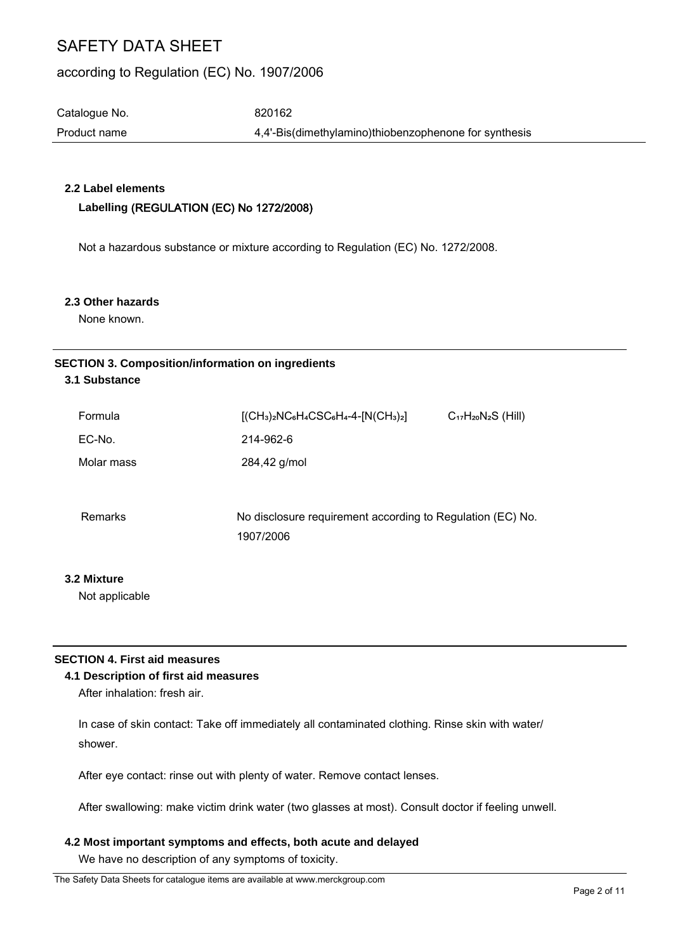# according to Regulation (EC) No. 1907/2006

Catalogue No. 620162

Product name  $4,4'-B$ is(dimethylamino)thiobenzophenone for synthesis

# **2.2 Label elements**

## **Labelling** (REGULATION (EC) No 1272/2008)

Not a hazardous substance or mixture according to Regulation (EC) No. 1272/2008.

#### **2.3 Other hazards**

None known.

# **SECTION 3. Composition/information on ingredients**

# **3.1 Substance**

| $[(CH3)2NC6H4CSC6H4-4-[N(CH3)2]$                                        | $C_{17}H_{20}N_{2}S$ (Hill) |
|-------------------------------------------------------------------------|-----------------------------|
| 214-962-6                                                               |                             |
| 284,42 g/mol                                                            |                             |
|                                                                         |                             |
| No disclosure requirement according to Regulation (EC) No.<br>1907/2006 |                             |
|                                                                         |                             |

## **3.2 Mixture**

Not applicable

## **SECTION 4. First aid measures**

## **4.1 Description of first aid measures**

After inhalation: fresh air.

In case of skin contact: Take off immediately all contaminated clothing. Rinse skin with water/ shower.

After eye contact: rinse out with plenty of water. Remove contact lenses.

After swallowing: make victim drink water (two glasses at most). Consult doctor if feeling unwell.

## **4.2 Most important symptoms and effects, both acute and delayed**

We have no description of any symptoms of toxicity.

The Safety Data Sheets for catalogue items are available at www.merckgroup.com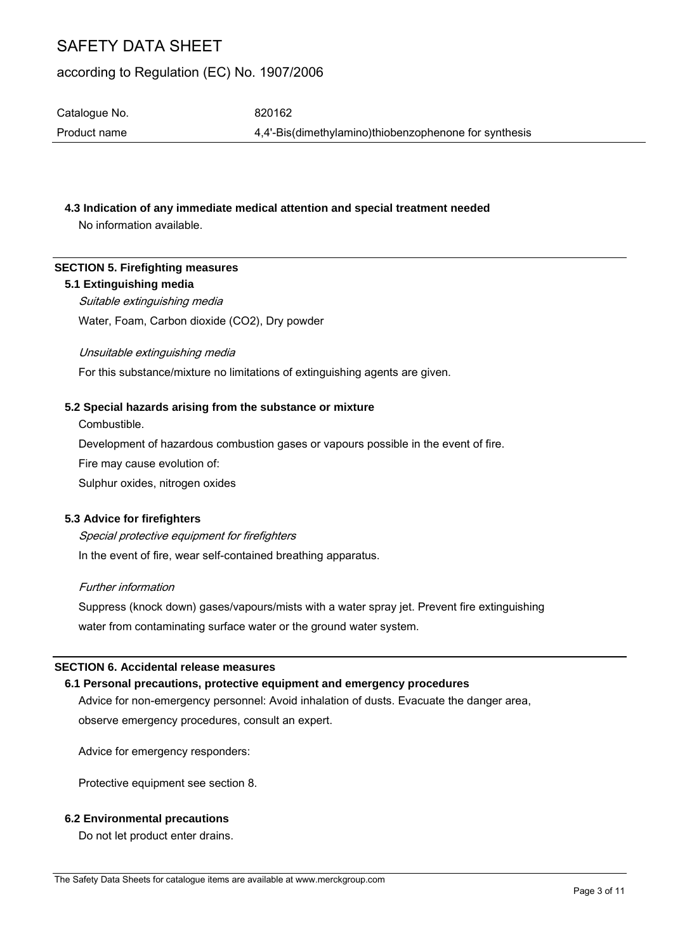# according to Regulation (EC) No. 1907/2006

Catalogue No. 620162 Product name 4,4'-Bis(dimethylamino)thiobenzophenone for synthesis

## **4.3 Indication of any immediate medical attention and special treatment needed**

No information available.

## **SECTION 5. Firefighting measures**

### **5.1 Extinguishing media**

Suitable extinguishing media Water, Foam, Carbon dioxide (CO2), Dry powder

### Unsuitable extinguishing media

For this substance/mixture no limitations of extinguishing agents are given.

### **5.2 Special hazards arising from the substance or mixture**

Combustible.

Development of hazardous combustion gases or vapours possible in the event of fire.

Fire may cause evolution of:

Sulphur oxides, nitrogen oxides

## **5.3 Advice for firefighters**

Special protective equipment for firefighters In the event of fire, wear self-contained breathing apparatus.

### Further information

Suppress (knock down) gases/vapours/mists with a water spray jet. Prevent fire extinguishing water from contaminating surface water or the ground water system.

## **SECTION 6. Accidental release measures**

## **6.1 Personal precautions, protective equipment and emergency procedures**

Advice for non-emergency personnel: Avoid inhalation of dusts. Evacuate the danger area, observe emergency procedures, consult an expert.

Advice for emergency responders:

Protective equipment see section 8.

## **6.2 Environmental precautions**

Do not let product enter drains.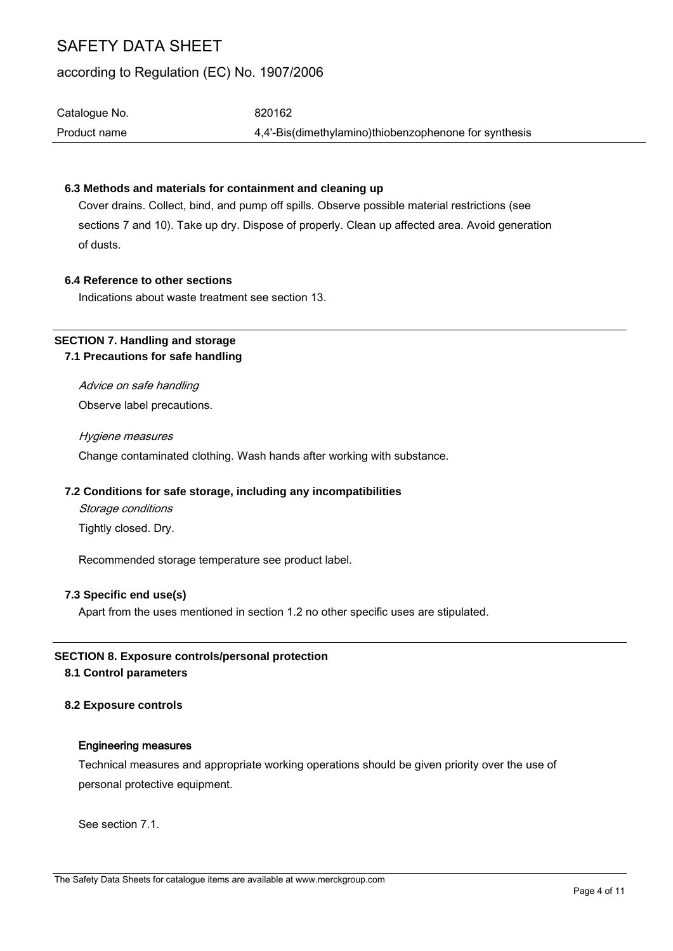# according to Regulation (EC) No. 1907/2006

| Catalogue No.<br>Product name | 820162                                                |
|-------------------------------|-------------------------------------------------------|
|                               | 4.4'-Bis(dimethylamino)thiobenzophenone for synthesis |

### **6.3 Methods and materials for containment and cleaning up**

Cover drains. Collect, bind, and pump off spills. Observe possible material restrictions (see sections 7 and 10). Take up dry. Dispose of properly. Clean up affected area. Avoid generation of dusts.

### **6.4 Reference to other sections**

Indications about waste treatment see section 13.

# **SECTION 7. Handling and storage 7.1 Precautions for safe handling**

Advice on safe handling Observe label precautions.

Hygiene measures Change contaminated clothing. Wash hands after working with substance.

## **7.2 Conditions for safe storage, including any incompatibilities**

Storage conditions Tightly closed. Dry.

Recommended storage temperature see product label.

## **7.3 Specific end use(s)**

Apart from the uses mentioned in section 1.2 no other specific uses are stipulated.

## **SECTION 8. Exposure controls/personal protection**

### **8.1 Control parameters**

## **8.2 Exposure controls**

#### Engineering measures

Technical measures and appropriate working operations should be given priority over the use of personal protective equipment.

See section 7.1.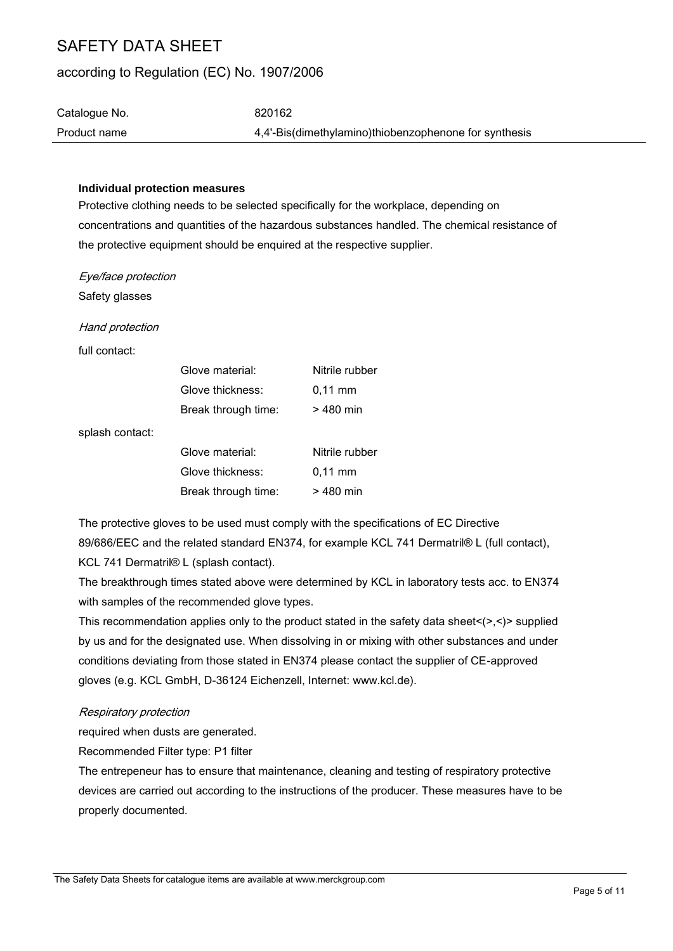# according to Regulation (EC) No. 1907/2006

| Catalogue No. | 820162                                                |
|---------------|-------------------------------------------------------|
| Product name  | 4,4'-Bis(dimethylamino)thiobenzophenone for synthesis |
|               |                                                       |

#### **Individual protection measures**

Protective clothing needs to be selected specifically for the workplace, depending on concentrations and quantities of the hazardous substances handled. The chemical resistance of the protective equipment should be enquired at the respective supplier.

Eye/face protection

Safety glasses

Hand protection

full contact:

| Glove material:     | Nitrile rubber |
|---------------------|----------------|
| Glove thickness:    | $0,11$ mm      |
| Break through time: | $>480$ min     |
|                     |                |

splash contact:

| Glove material:     | Nitrile rubber      |
|---------------------|---------------------|
| Glove thickness:    | $0.11 \, \text{mm}$ |
| Break through time: | $>480$ min          |

The protective gloves to be used must comply with the specifications of EC Directive 89/686/EEC and the related standard EN374, for example KCL 741 Dermatril® L (full contact), KCL 741 Dermatril® L (splash contact).

The breakthrough times stated above were determined by KCL in laboratory tests acc. to EN374 with samples of the recommended glove types.

This recommendation applies only to the product stated in the safety data sheet<(>,<)> supplied by us and for the designated use. When dissolving in or mixing with other substances and under conditions deviating from those stated in EN374 please contact the supplier of CE-approved gloves (e.g. KCL GmbH, D-36124 Eichenzell, Internet: www.kcl.de).

## Respiratory protection

required when dusts are generated.

Recommended Filter type: P1 filter

The entrepeneur has to ensure that maintenance, cleaning and testing of respiratory protective devices are carried out according to the instructions of the producer. These measures have to be properly documented.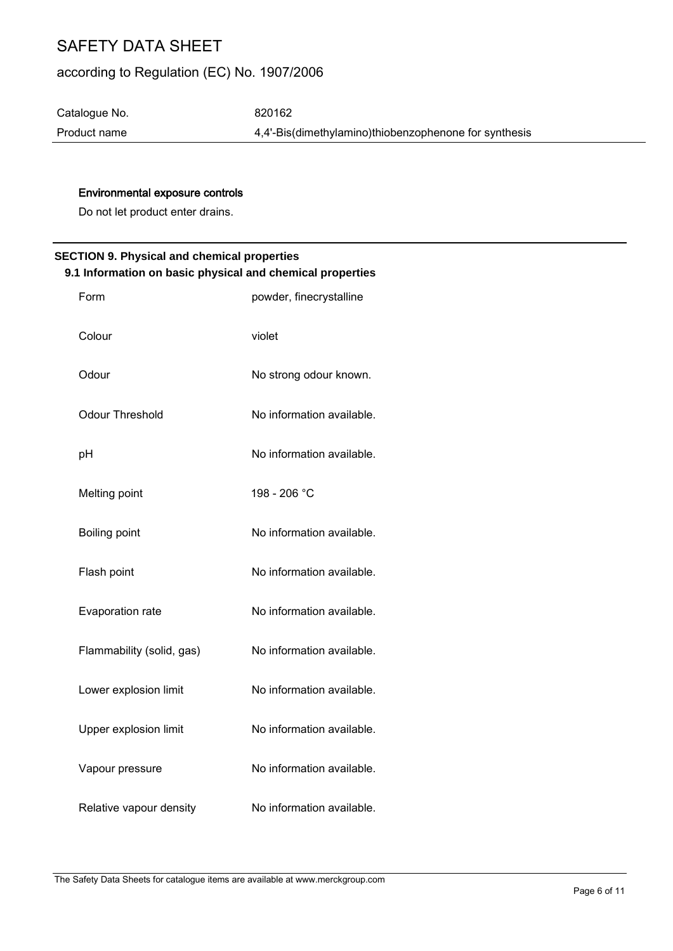# according to Regulation (EC) No. 1907/2006

Catalogue No. 620162

Product name 4,4'-Bis(dimethylamino)thiobenzophenone for synthesis

# Environmental exposure controls

Do not let product enter drains.

# **SECTION 9. Physical and chemical properties 9.1 Information on basic physical and chemical properties**

| Form                      | powder, finecrystalline   |
|---------------------------|---------------------------|
| Colour                    | violet                    |
| Odour                     | No strong odour known.    |
| Odour Threshold           | No information available. |
| pH                        | No information available. |
| Melting point             | 198 - 206 °C              |
| Boiling point             | No information available. |
| Flash point               | No information available. |
| Evaporation rate          | No information available. |
| Flammability (solid, gas) | No information available. |
| Lower explosion limit     | No information available. |
| Upper explosion limit     | No information available. |
| Vapour pressure           | No information available. |
| Relative vapour density   | No information available. |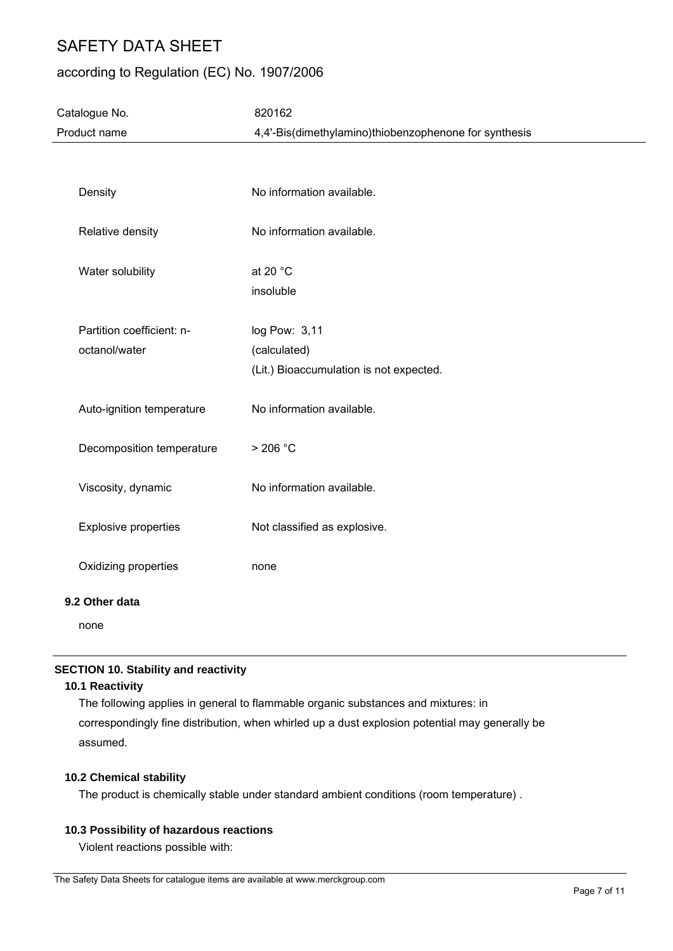# according to Regulation (EC) No. 1907/2006

| Catalogue No.               | 820162                                                |  |
|-----------------------------|-------------------------------------------------------|--|
| Product name                | 4,4'-Bis(dimethylamino)thiobenzophenone for synthesis |  |
|                             |                                                       |  |
|                             |                                                       |  |
| Density                     | No information available.                             |  |
|                             |                                                       |  |
| Relative density            | No information available.                             |  |
|                             |                                                       |  |
| Water solubility            | at 20 °C                                              |  |
|                             | insoluble                                             |  |
|                             |                                                       |  |
| Partition coefficient: n-   | log Pow: 3,11                                         |  |
| octanol/water               | (calculated)                                          |  |
|                             | (Lit.) Bioaccumulation is not expected.               |  |
|                             |                                                       |  |
| Auto-ignition temperature   | No information available.                             |  |
|                             |                                                       |  |
| Decomposition temperature   | >206 °C                                               |  |
| Viscosity, dynamic          | No information available.                             |  |
|                             |                                                       |  |
| <b>Explosive properties</b> | Not classified as explosive.                          |  |
|                             |                                                       |  |
| Oxidizing properties        | none                                                  |  |
|                             |                                                       |  |
| 9.2 Other data              |                                                       |  |
| none                        |                                                       |  |

# **SECTION 10. Stability and reactivity**

#### **10.1 Reactivity**

The following applies in general to flammable organic substances and mixtures: in correspondingly fine distribution, when whirled up a dust explosion potential may generally be assumed.

#### **10.2 Chemical stability**

The product is chemically stable under standard ambient conditions (room temperature) .

## **10.3 Possibility of hazardous reactions**

Violent reactions possible with: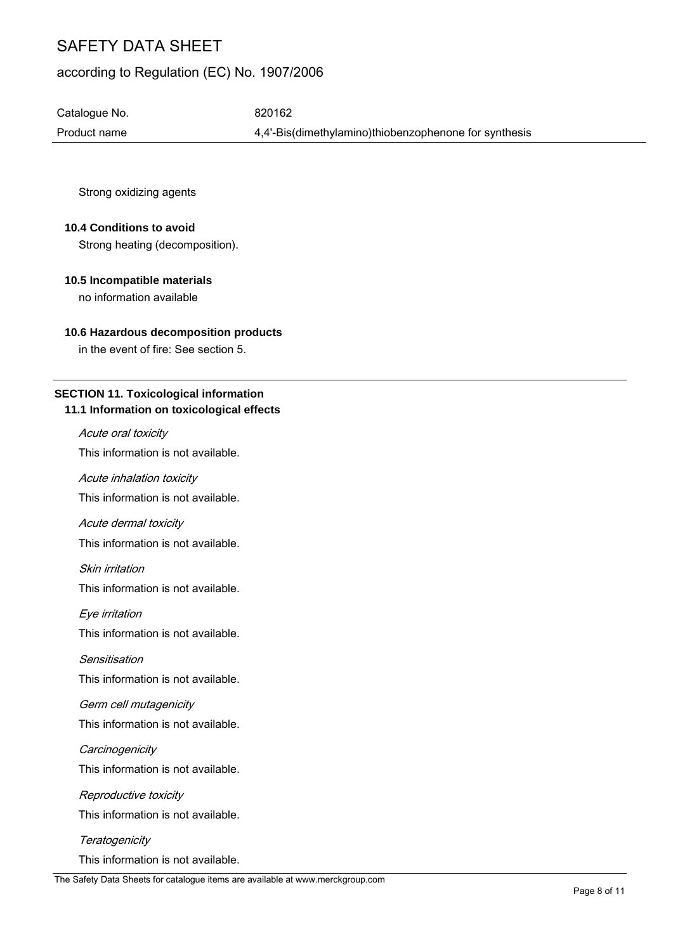# according to Regulation (EC) No. 1907/2006

Catalogue No. 620162

Product name  $4,4'-B$ is(dimethylamino)thiobenzophenone for synthesis

Strong oxidizing agents

### **10.4 Conditions to avoid**

Strong heating (decomposition).

# **10.5 Incompatible materials**

no information available

## **10.6 Hazardous decomposition products**

in the event of fire: See section 5.

# **SECTION 11. Toxicological information**

## **11.1 Information on toxicological effects**

### Acute oral toxicity

This information is not available.

Acute inhalation toxicity

This information is not available.

#### Acute dermal toxicity

This information is not available.

Skin irritation

This information is not available.

Eye irritation

This information is not available.

#### **Sensitisation**

This information is not available.

#### Germ cell mutagenicity

This information is not available.

## **Carcinogenicity**

This information is not available.

# Reproductive toxicity This information is not available.

# **Teratogenicity**

This information is not available.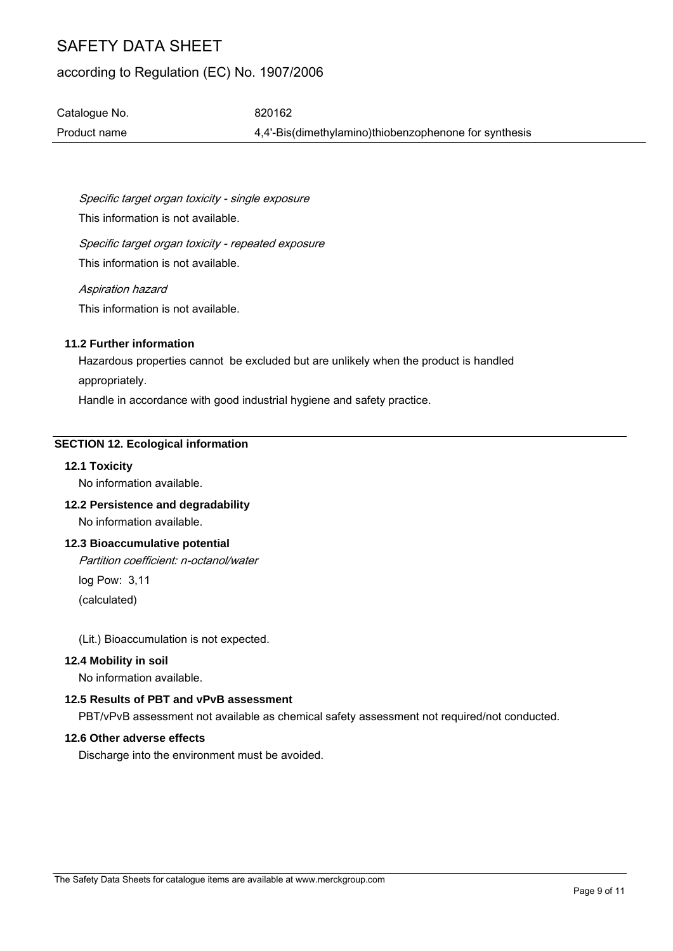# according to Regulation (EC) No. 1907/2006

Catalogue No. 620162 Product name 4,4'-Bis(dimethylamino)thiobenzophenone for synthesis

Specific target organ toxicity - single exposure This information is not available.

Specific target organ toxicity - repeated exposure This information is not available.

Aspiration hazard This information is not available.

### **11.2 Further information**

Hazardous properties cannot be excluded but are unlikely when the product is handled appropriately.

Handle in accordance with good industrial hygiene and safety practice.

## **SECTION 12. Ecological information**

# **12.1 Toxicity**

No information available.

# **12.2 Persistence and degradability**

No information available.

## **12.3 Bioaccumulative potential**

Partition coefficient: n-octanol/water

log Pow: 3,11 (calculated)

(Lit.) Bioaccumulation is not expected.

## **12.4 Mobility in soil**

No information available.

# **12.5 Results of PBT and vPvB assessment**

PBT/vPvB assessment not available as chemical safety assessment not required/not conducted.

### **12.6 Other adverse effects**

Discharge into the environment must be avoided.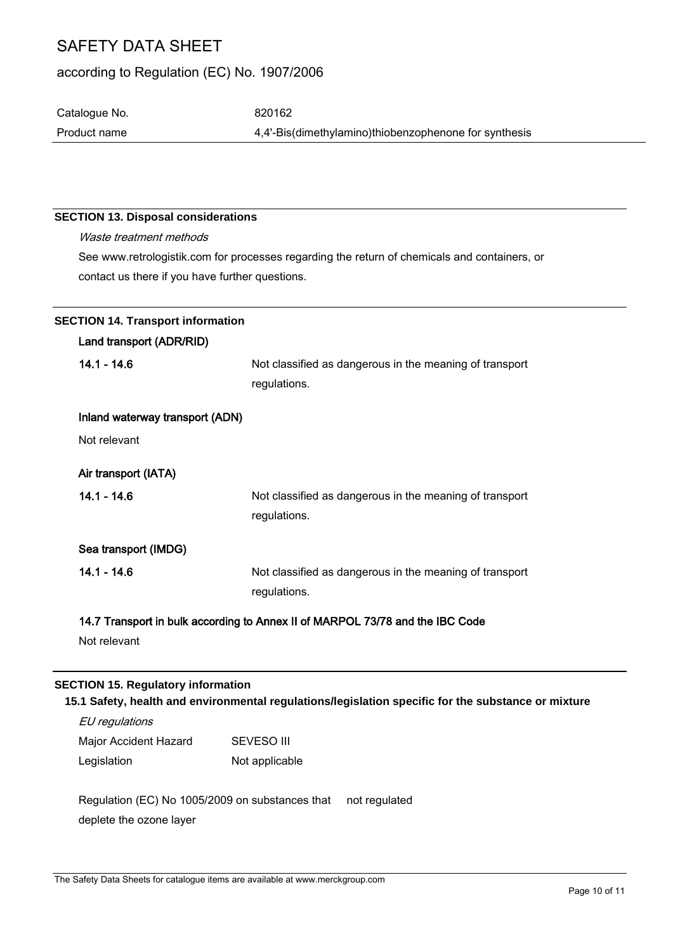# according to Regulation (EC) No. 1907/2006

Catalogue No. 620162 Product name 4,4'-Bis(dimethylamino)thiobenzophenone for synthesis

## **SECTION 13. Disposal considerations**

Waste treatment methods See www.retrologistik.com for processes regarding the return of chemicals and containers, or contact us there if you have further questions.

|               | <b>SECTION 14. Transport information</b>  |                                                                                                     |
|---------------|-------------------------------------------|-----------------------------------------------------------------------------------------------------|
|               | Land transport (ADR/RID)                  |                                                                                                     |
| $14.1 - 14.6$ |                                           | Not classified as dangerous in the meaning of transport                                             |
|               |                                           | regulations.                                                                                        |
|               | Inland waterway transport (ADN)           |                                                                                                     |
| Not relevant  |                                           |                                                                                                     |
|               | Air transport (IATA)                      |                                                                                                     |
| $14.1 - 14.6$ |                                           | Not classified as dangerous in the meaning of transport                                             |
|               |                                           | regulations.                                                                                        |
|               | Sea transport (IMDG)                      |                                                                                                     |
| $14.1 - 14.6$ |                                           | Not classified as dangerous in the meaning of transport                                             |
|               |                                           | regulations.                                                                                        |
|               |                                           | 14.7 Transport in bulk according to Annex II of MARPOL 73/78 and the IBC Code                       |
|               | Not relevant                              |                                                                                                     |
|               |                                           |                                                                                                     |
|               | <b>SECTION 15. Regulatory information</b> |                                                                                                     |
|               |                                           | 15.1 Safety, health and environmental regulations/legislation specific for the substance or mixture |

EU regulations Major Accident Hazard Legislation SEVESO III Not applicable

Regulation (EC) No 1005/2009 on substances that deplete the ozone layer not regulated